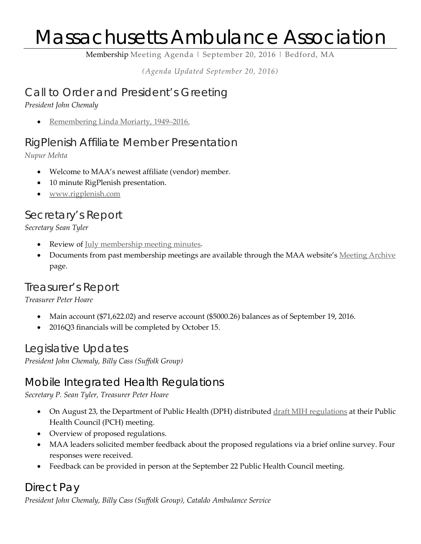# Massachusetts Ambulance Association

Membership Meeting Agenda | September 20, 2016 | Bedford, MA

*(Agenda Updated September 20, 2016)*

#### Call to Order and President's Greeting

*President John Chemaly*

• [Remembering Linda Moriarty, 1949–2016.](http://massambulance.org/news/4256834)

## RigPlenish Affiliate Member Presentation

*Nupur Mehta*

- Welcome to MAA's newest affiliate (vendor) member.
- 10 minute RigPlenish presentation.
- [www.rigplenish.com](http://www.rigplenish.com/)

## Secretary's Report

*Secretary Sean Tyler*

- Review of <u>July membership meeting minutes</u>.
- Documents from past membership meetings are available through the MAA website's [Meeting Archive](http://massambulance.org/Members-only-content) page.

### Treasurer's Report

*Treasurer Peter Hoare*

- Main account (\$71,622.02) and reserve account (\$5000.26) balances as of September 19, 2016.
- 2016Q3 financials will be completed by October 15.

Legislative Updates

*President John Chemaly, Billy Cass (Suffolk Group)*

### Mobile Integrated Health Regulations

*Secretary P. Sean Tyler, Treasurer Peter Hoare*

- On August 23, the Department of Public Health (DPH) distributed [draft MIH regulations](http://massambulance.org/resources/Documents/Advocacy%20and%20Government%20Affairs/2016.08.23%20Mass%20DPH%20Mobile%20Integrated%20Health%20MIH%20Proposed%20Regulations_105%20CMR%20173.000.pdf) at their Public Health Council (PCH) meeting.
- Overview of proposed regulations.
- MAA leaders solicited member feedback about the proposed regulations via a brief online survey. Four responses were received.
- Feedback can be provided in person at the September 22 Public Health Council meeting.

#### Direct Pay *President John Chemaly, Billy Cass (Suffolk Group), Cataldo Ambulance Service*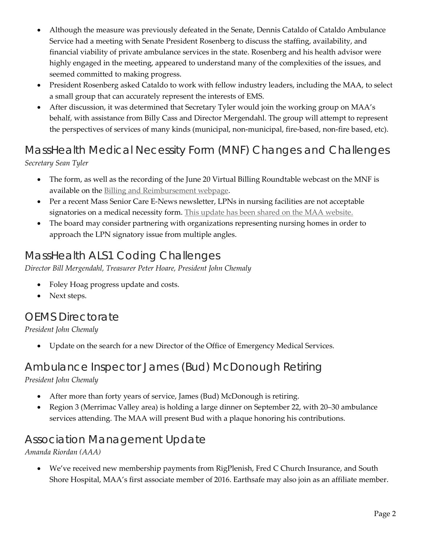- Although the measure was previously defeated in the Senate, Dennis Cataldo of Cataldo Ambulance Service had a meeting with Senate President Rosenberg to discuss the staffing, availability, and financial viability of private ambulance services in the state. Rosenberg and his health advisor were highly engaged in the meeting, appeared to understand many of the complexities of the issues, and seemed committed to making progress.
- President Rosenberg asked Cataldo to work with fellow industry leaders, including the MAA, to select a small group that can accurately represent the interests of EMS.
- After discussion, it was determined that Secretary Tyler would join the working group on MAA's behalf, with assistance from Billy Cass and Director Mergendahl. The group will attempt to represent the perspectives of services of many kinds (municipal, non-municipal, fire-based, non-fire based, etc).

#### MassHealth Medical Necessity Form (MNF) Changes and Challenges *Secretary Sean Tyler*

- The form, as well as the recording of the June 20 Virtual Billing Roundtable webcast on the MNF is available on the [Billing and Reimbursement webpage.](http://massambulance.org/page-18060)
- Per a recent Mass Senior Care E-News newsletter, LPNs in nursing facilities are not acceptable signatories on a medical necessity form. [This update has been shared on the MAA website.](http://massambulance.org/news/4206603)
- The board may consider partnering with organizations representing nursing homes in order to approach the LPN signatory issue from multiple angles.

## MassHealth ALS1 Coding Challenges

*Director Bill Mergendahl, Treasurer Peter Hoare, President John Chemaly*

- Foley Hoag progress update and costs.
- Next steps.

#### OEMS Directorate

*President John Chemaly*

• Update on the search for a new Director of the Office of Emergency Medical Services.

#### Ambulance Inspector James (Bud) McDonough Retiring *President John Chemaly*

- After more than forty years of service, James (Bud) McDonough is retiring.
- Region 3 (Merrimac Valley area) is holding a large dinner on September 22, with 20–30 ambulance services attending. The MAA will present Bud with a plaque honoring his contributions.

### Association Management Update

*Amanda Riordan (AAA)*

• We've received new membership payments from RigPlenish, Fred C Church Insurance, and South Shore Hospital, MAA's first associate member of 2016. Earthsafe may also join as an affiliate member.